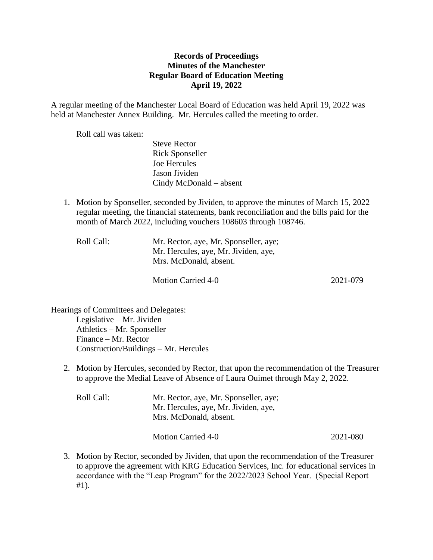## **Records of Proceedings Minutes of the Manchester Regular Board of Education Meeting April 19, 2022**

A regular meeting of the Manchester Local Board of Education was held April 19, 2022 was held at Manchester Annex Building. Mr. Hercules called the meeting to order.

Roll call was taken:

Steve Rector Rick Sponseller Joe Hercules Jason Jividen Cindy McDonald – absent

1. Motion by Sponseller, seconded by Jividen, to approve the minutes of March 15, 2022 regular meeting, the financial statements, bank reconciliation and the bills paid for the month of March 2022, including vouchers 108603 through 108746.

| Roll Call: | Mr. Rector, aye, Mr. Sponseller, aye; |  |
|------------|---------------------------------------|--|
|            | Mr. Hercules, aye, Mr. Jividen, aye,  |  |
|            | Mrs. McDonald, absent.                |  |
|            |                                       |  |

Motion Carried 4-0 2021-079

Hearings of Committees and Delegates: Legislative – Mr. Jividen Athletics – Mr. Sponseller Finance – Mr. Rector Construction/Buildings – Mr. Hercules

2. Motion by Hercules, seconded by Rector, that upon the recommendation of the Treasurer to approve the Medial Leave of Absence of Laura Ouimet through May 2, 2022.

| Roll Call: | Mr. Rector, aye, Mr. Sponseller, aye;<br>Mr. Hercules, aye, Mr. Jividen, aye,<br>Mrs. McDonald, absent. |          |
|------------|---------------------------------------------------------------------------------------------------------|----------|
|            | Motion Carried 4-0                                                                                      | 2021-080 |

3. Motion by Rector, seconded by Jividen, that upon the recommendation of the Treasurer to approve the agreement with KRG Education Services, Inc. for educational services in accordance with the "Leap Program" for the 2022/2023 School Year. (Special Report #1).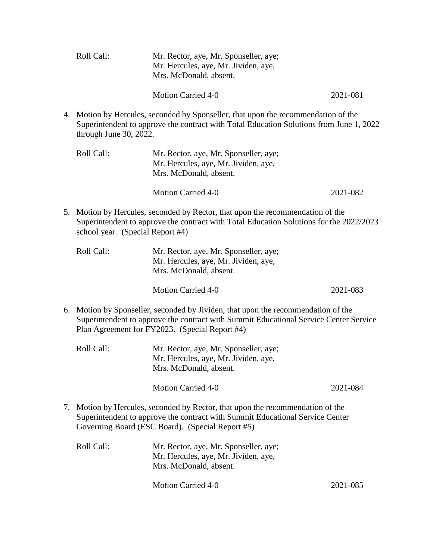|    | Roll Call:                       | Mr. Rector, aye, Mr. Sponseller, aye;<br>Mr. Hercules, aye, Mr. Jividen, aye,<br>Mrs. McDonald, absent.                                                                                                                   |          |
|----|----------------------------------|---------------------------------------------------------------------------------------------------------------------------------------------------------------------------------------------------------------------------|----------|
|    |                                  | <b>Motion Carried 4-0</b>                                                                                                                                                                                                 | 2021-081 |
| 4. | through June 30, 2022.           | Motion by Hercules, seconded by Sponseller, that upon the recommendation of the<br>Superintendent to approve the contract with Total Education Solutions from June 1, 2022                                                |          |
|    | Roll Call:                       | Mr. Rector, aye, Mr. Sponseller, aye;<br>Mr. Hercules, aye, Mr. Jividen, aye,<br>Mrs. McDonald, absent.                                                                                                                   |          |
|    |                                  | <b>Motion Carried 4-0</b>                                                                                                                                                                                                 | 2021-082 |
|    | school year. (Special Report #4) | 5. Motion by Hercules, seconded by Rector, that upon the recommendation of the<br>Superintendent to approve the contract with Total Education Solutions for the 2022/2023                                                 |          |
|    | Roll Call:                       | Mr. Rector, aye, Mr. Sponseller, aye;<br>Mr. Hercules, aye, Mr. Jividen, aye,<br>Mrs. McDonald, absent.                                                                                                                   |          |
|    |                                  | <b>Motion Carried 4-0</b>                                                                                                                                                                                                 | 2021-083 |
| 6. |                                  | Motion by Sponseller, seconded by Jividen, that upon the recommendation of the<br>Superintendent to approve the contract with Summit Educational Service Center Service<br>Plan Agreement for FY2023. (Special Report #4) |          |
|    | Roll Call:                       | Mr. Rector, aye, Mr. Sponseller, aye;<br>Mr. Hercules, aye, Mr. Jividen, aye,<br>Mrs. McDonald, absent.                                                                                                                   |          |
|    |                                  | <b>Motion Carried 4-0</b>                                                                                                                                                                                                 | 2021-084 |

7. Motion by Hercules, seconded by Rector, that upon the recommendation of the Superintendent to approve the contract with Summit Educational Service Center Governing Board (ESC Board). (Special Report #5)

| Roll Call: | Mr. Rector, aye, Mr. Sponseller, aye; |  |
|------------|---------------------------------------|--|
|            | Mr. Hercules, aye, Mr. Jividen, aye,  |  |
|            | Mrs. McDonald, absent.                |  |
|            |                                       |  |

Motion Carried 4-0 2021-085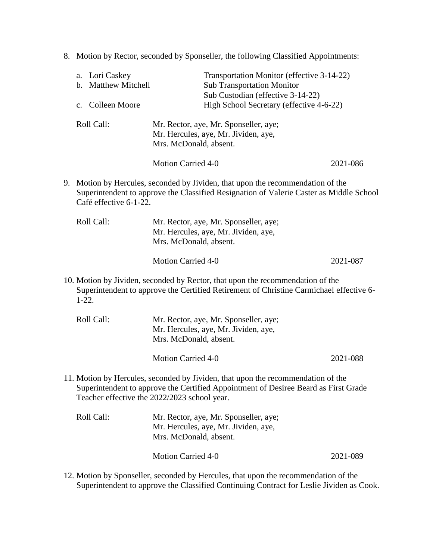8. Motion by Rector, seconded by Sponseller, the following Classified Appointments:

|    |         | a. Lori Caskey<br>b. Matthew Mitchell<br>c. Colleen Moore |                           | Transportation Monitor (effective 3-14-22)<br><b>Sub Transportation Monitor</b><br>Sub Custodian (effective 3-14-22)<br>High School Secretary (effective 4-6-22)          |          |
|----|---------|-----------------------------------------------------------|---------------------------|---------------------------------------------------------------------------------------------------------------------------------------------------------------------------|----------|
|    |         | Roll Call:                                                | Mrs. McDonald, absent.    | Mr. Rector, aye, Mr. Sponseller, aye;<br>Mr. Hercules, aye, Mr. Jividen, aye,                                                                                             |          |
|    |         |                                                           | <b>Motion Carried 4-0</b> |                                                                                                                                                                           | 2021-086 |
| 9. |         | Café effective 6-1-22.                                    |                           | Motion by Hercules, seconded by Jividen, that upon the recommendation of the<br>Superintendent to approve the Classified Resignation of Valerie Caster as Middle School   |          |
|    |         | Roll Call:                                                | Mrs. McDonald, absent.    | Mr. Rector, aye, Mr. Sponseller, aye;<br>Mr. Hercules, aye, Mr. Jividen, aye,                                                                                             |          |
|    |         |                                                           | <b>Motion Carried 4-0</b> |                                                                                                                                                                           | 2021-087 |
|    | $1-22.$ |                                                           |                           | 10. Motion by Jividen, seconded by Rector, that upon the recommendation of the<br>Superintendent to approve the Certified Retirement of Christine Carmichael effective 6- |          |
|    |         | Roll Call:                                                | Mrs. McDonald, absent.    | Mr. Rector, aye, Mr. Sponseller, aye;<br>Mr. Hercules, aye, Mr. Jividen, aye,                                                                                             |          |
|    |         |                                                           | <b>Motion Carried 4-0</b> |                                                                                                                                                                           | 2021-088 |
|    |         | Teacher effective the 2022/2023 school year.              |                           | 11. Motion by Hercules, seconded by Jividen, that upon the recommendation of the<br>Superintendent to approve the Certified Appointment of Desiree Beard as First Grade   |          |
|    |         | Roll Call:                                                | Mrs. McDonald, absent.    | Mr. Rector, aye, Mr. Sponseller, aye;<br>Mr. Hercules, aye, Mr. Jividen, aye,                                                                                             |          |
|    |         |                                                           | <b>Motion Carried 4-0</b> |                                                                                                                                                                           | 2021-089 |
|    |         |                                                           |                           |                                                                                                                                                                           |          |

12. Motion by Sponseller, seconded by Hercules, that upon the recommendation of the Superintendent to approve the Classified Continuing Contract for Leslie Jividen as Cook.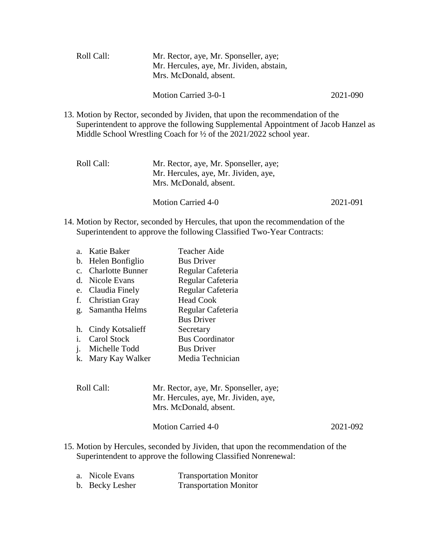| Roll Call: | Mr. Rector, aye, Mr. Sponseller, aye;<br>Mr. Hercules, aye, Mr. Jividen, abstain,<br>Mrs. McDonald, absent.                                                                                                                                            |          |
|------------|--------------------------------------------------------------------------------------------------------------------------------------------------------------------------------------------------------------------------------------------------------|----------|
|            | Motion Carried 3-0-1                                                                                                                                                                                                                                   | 2021-090 |
|            | 13. Motion by Rector, seconded by Jividen, that upon the recommendation of the<br>Superintendent to approve the following Supplemental Appointment of Jacob Hanzel as<br>Middle School Wrestling Coach for $\frac{1}{2}$ of the 2021/2022 school year. |          |
| Roll Call: | Mr. Rector, aye, Mr. Sponseller, aye;                                                                                                                                                                                                                  |          |

| Mr. Hercules, aye, Mr. Jividen, aye,<br>Mrs. McDonald, absent. |          |
|----------------------------------------------------------------|----------|
| Motion Carried 4-0                                             | 2021-091 |

14. Motion by Rector, seconded by Hercules, that upon the recommendation of the Superintendent to approve the following Classified Two-Year Contracts:

| a <sub>z</sub> | Katie Baker             | <b>Teacher Aide</b>    |
|----------------|-------------------------|------------------------|
| $\mathbf{b}$ . | Helen Bonfiglio         | <b>Bus Driver</b>      |
| $c_{-}$        | <b>Charlotte Bunner</b> | Regular Cafeteria      |
|                | d. Nicole Evans         | Regular Cafeteria      |
|                | e. Claudia Finely       | Regular Cafeteria      |
| f.             | <b>Christian Gray</b>   | <b>Head Cook</b>       |
|                | g. Samantha Helms       | Regular Cafeteria      |
|                |                         | <b>Bus Driver</b>      |
|                | h. Cindy Kotsalieff     | Secretary              |
| i.             | Carol Stock             | <b>Bus Coordinator</b> |
| j.             | Michelle Todd           | <b>Bus Driver</b>      |
|                | k. Mary Kay Walker      | Media Technician       |

| Roll Call: | Mr. Rector, aye, Mr. Sponseller, aye; |  |
|------------|---------------------------------------|--|
|            | Mr. Hercules, aye, Mr. Jividen, aye,  |  |
|            | Mrs. McDonald, absent.                |  |
|            |                                       |  |

| 2021-092<br><b>Motion Carried 4-0</b> |  |
|---------------------------------------|--|
|---------------------------------------|--|

15. Motion by Hercules, seconded by Jividen, that upon the recommendation of the Superintendent to approve the following Classified Nonrenewal:

| a. Nicole Evans | <b>Transportation Monitor</b> |
|-----------------|-------------------------------|
| b. Becky Lesher | <b>Transportation Monitor</b> |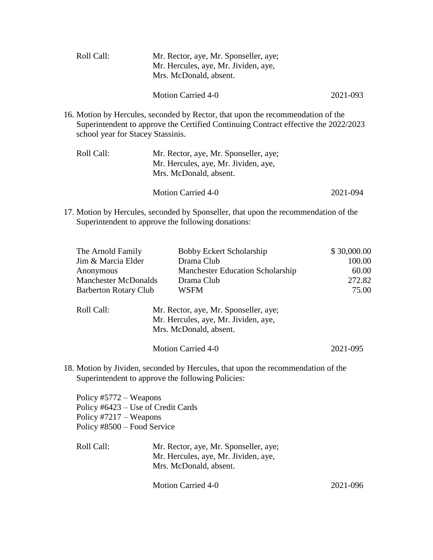| Roll Call: | Mr. Rector, aye, Mr. Sponseller, aye;<br>Mr. Hercules, aye, Mr. Jividen, aye,<br>Mrs. McDonald, absent. |          |
|------------|---------------------------------------------------------------------------------------------------------|----------|
|            | <b>Motion Carried 4-0</b>                                                                               | 2021-093 |
|            | 16. Motion by Hercules, seconded by Rector, that upon the recommendation of the                         |          |

Superintendent to approve the Certified Continuing Contract effective the 2022/2023 school year for Stacey Stassinis.

| Roll Call: | Mr. Rector, aye, Mr. Sponseller, aye;<br>Mr. Hercules, aye, Mr. Jividen, aye,<br>Mrs. McDonald, absent. |          |
|------------|---------------------------------------------------------------------------------------------------------|----------|
|            | Motion Carried 4-0                                                                                      | 2021-094 |

17. Motion by Hercules, seconded by Sponseller, that upon the recommendation of the Superintendent to approve the following donations:

| The Arnold Family<br>Jim & Marcia Elder<br>Anonymous<br><b>Manchester McDonalds</b><br><b>Barberton Rotary Club</b>     | Bobby Eckert Scholarship<br>Drama Club<br><b>Manchester Education Scholarship</b><br>Drama Club<br><b>WSFM</b>                        | \$30,000.00<br>100.00<br>60.00<br>272.82<br>75.00 |  |
|-------------------------------------------------------------------------------------------------------------------------|---------------------------------------------------------------------------------------------------------------------------------------|---------------------------------------------------|--|
| Roll Call:                                                                                                              | Mr. Rector, aye, Mr. Sponseller, aye;<br>Mr. Hercules, aye, Mr. Jividen, aye,<br>Mrs. McDonald, absent.                               |                                                   |  |
|                                                                                                                         | <b>Motion Carried 4-0</b>                                                                                                             | 2021-095                                          |  |
|                                                                                                                         | 18. Motion by Jividen, seconded by Hercules, that upon the recommendation of the<br>Superintendent to approve the following Policies: |                                                   |  |
| Policy $#5772 -$ Weapons<br>Policy #6423 – Use of Credit Cards<br>Policy #7217 – Weapons<br>Policy #8500 – Food Service |                                                                                                                                       |                                                   |  |
| Roll Call:                                                                                                              | Mr. Rector, aye, Mr. Sponseller, aye;<br>Mr. Hercules, aye, Mr. Jividen, aye,<br>Mrs. McDonald, absent.                               |                                                   |  |

Motion Carried 4-0 2021-096